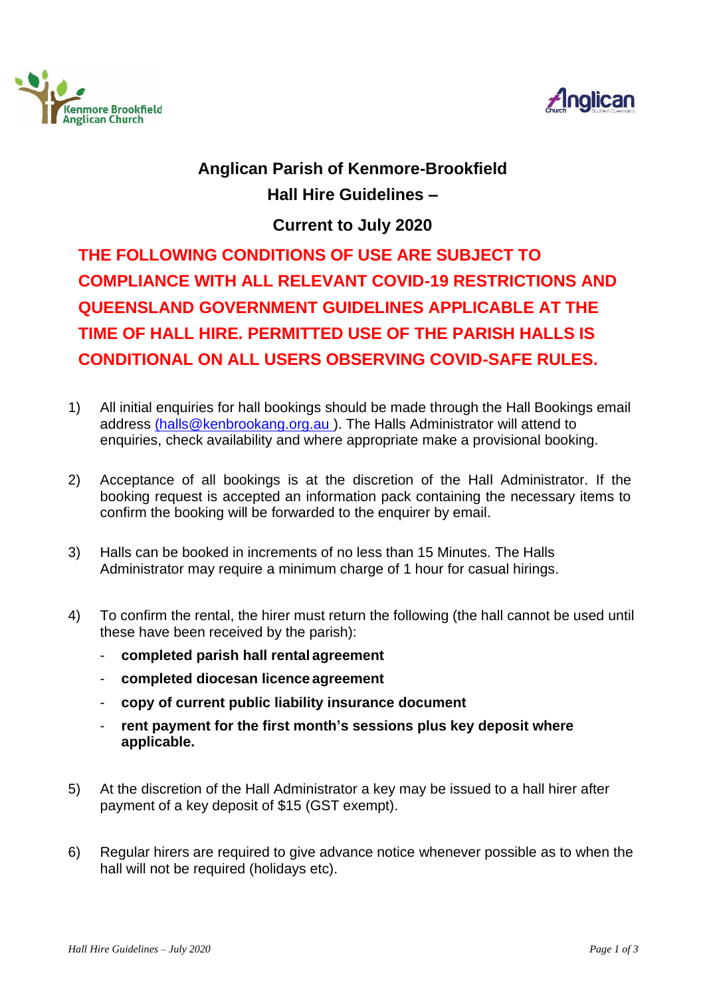



## **Anglican Parish of Kenmore-Brookfield Hall Hire Guidelines –**

**Current to July 2020**

**THE FOLLOWING CONDITIONS OF USE ARE SUBJECT TO COMPLIANCE WITH ALL RELEVANT COVID-19 RESTRICTIONS AND QUEENSLAND GOVERNMENT GUIDELINES APPLICABLE AT THE TIME OF HALL HIRE. PERMITTED USE OF THE PARISH HALLS IS CONDITIONAL ON ALL USERS OBSERVING COVID-SAFE RULES.**

- 1) All initial enquiries for hall bookings should be made through the Hall Bookings email address [\(halls@kenbrookang.org.au \)](mailto:(halls@kenbrookang.org.au). The Halls Administrator will attend to enquiries, check availability and where appropriate make a provisional booking.
- 2) Acceptance of all bookings is at the discretion of the Hall Administrator. If the booking request is accepted an information pack containing the necessary items to confirm the booking will be forwarded to the enquirer by email.
- 3) Halls can be booked in increments of no less than 15 Minutes. The Halls Administrator may require a minimum charge of 1 hour for casual hirings.
- 4) To confirm the rental, the hirer must return the following (the hall cannot be used until these have been received by the parish):
	- **completed parish hall rental agreement**
	- **completed diocesan licence agreement**
	- **copy of current public liability insurance document**
	- **rent payment for the first month's sessions plus key deposit where applicable.**
- 5) At the discretion of the Hall Administrator a key may be issued to a hall hirer after payment of a key deposit of \$15 (GST exempt).
- 6) Regular hirers are required to give advance notice whenever possible as to when the hall will not be required (holidays etc).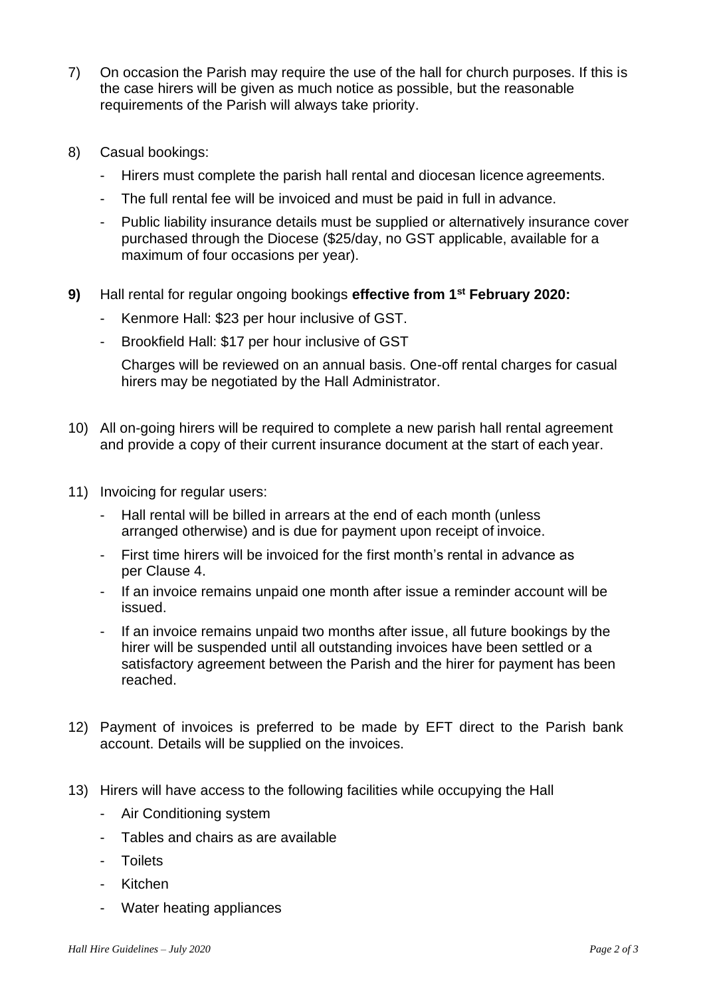- 7) On occasion the Parish may require the use of the hall for church purposes. If this is the case hirers will be given as much notice as possible, but the reasonable requirements of the Parish will always take priority.
- 8) Casual bookings:
	- Hirers must complete the parish hall rental and diocesan licence agreements.
	- The full rental fee will be invoiced and must be paid in full in advance.
	- Public liability insurance details must be supplied or alternatively insurance cover purchased through the Diocese (\$25/day, no GST applicable, available for a maximum of four occasions per year).
- **9)** Hall rental for regular ongoing bookings **effective from 1st February 2020:**
	- Kenmore Hall: \$23 per hour inclusive of GST.
	- Brookfield Hall: \$17 per hour inclusive of GST

Charges will be reviewed on an annual basis. One-off rental charges for casual hirers may be negotiated by the Hall Administrator.

- 10) All on-going hirers will be required to complete a new parish hall rental agreement and provide a copy of their current insurance document at the start of each year.
- 11) Invoicing for regular users:
	- Hall rental will be billed in arrears at the end of each month (unless arranged otherwise) and is due for payment upon receipt of invoice.
	- First time hirers will be invoiced for the first month's rental in advance as per Clause 4.
	- If an invoice remains unpaid one month after issue a reminder account will be issued.
	- If an invoice remains unpaid two months after issue, all future bookings by the hirer will be suspended until all outstanding invoices have been settled or a satisfactory agreement between the Parish and the hirer for payment has been reached.
- 12) Payment of invoices is preferred to be made by EFT direct to the Parish bank account. Details will be supplied on the invoices.
- 13) Hirers will have access to the following facilities while occupying the Hall
	- Air Conditioning system
	- Tables and chairs as are available
	- **Toilets**
	- Kitchen
	- Water heating appliances